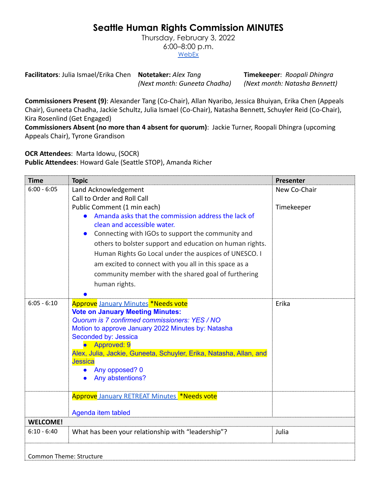## **Seattle Human Rights Commission MINUTES**

Thursday, February 3, 2022 6:00–8:00 p.m. **[WebEx](https://www.seattle.gov/humanrights/calendar)** 

**Facilitators**: Julia Ismael/Erika Chen **Notetaker:** *Alex Tang* **Timekeeper**: *Roopali Dhingra (Next month: Guneeta Chadha) (Next month: Natasha Bennett)*

**Commissioners Present (9)**: Alexander Tang (Co-Chair), Allan Nyaribo, Jessica Bhuiyan, Erika Chen (Appeals Chair), Guneeta Chadha, Jackie Schultz, Julia Ismael (Co-Chair), Natasha Bennett, Schuyler Reid (Co-Chair), Kira Rosenlind (Get Engaged)

**Commissioners Absent (no more than 4 absent for quorum)**: Jackie Turner, Roopali Dhingra (upcoming Appeals Chair), Tyrone Grandison

**OCR Attendees**: Marta Idowu, (SOCR)

**Public Attendees**: Howard Gale (Seattle STOP), Amanda Richer

| <b>Time</b>                    | <b>Topic</b>                                                                                                                                                                                                                                                                                                                                                      | Presenter    |
|--------------------------------|-------------------------------------------------------------------------------------------------------------------------------------------------------------------------------------------------------------------------------------------------------------------------------------------------------------------------------------------------------------------|--------------|
| $6:00 - 6:05$                  | Land Acknowledgement                                                                                                                                                                                                                                                                                                                                              | New Co-Chair |
|                                | Call to Order and Roll Call                                                                                                                                                                                                                                                                                                                                       |              |
|                                | Public Comment (1 min each)                                                                                                                                                                                                                                                                                                                                       | Timekeeper   |
|                                | Amanda asks that the commission address the lack of                                                                                                                                                                                                                                                                                                               |              |
|                                | clean and accessible water.                                                                                                                                                                                                                                                                                                                                       |              |
|                                | Connecting with IGOs to support the community and                                                                                                                                                                                                                                                                                                                 |              |
|                                | others to bolster support and education on human rights.                                                                                                                                                                                                                                                                                                          |              |
|                                | Human Rights Go Local under the auspices of UNESCO. I                                                                                                                                                                                                                                                                                                             |              |
|                                | am excited to connect with you all in this space as a                                                                                                                                                                                                                                                                                                             |              |
|                                | community member with the shared goal of furthering                                                                                                                                                                                                                                                                                                               |              |
|                                | human rights.                                                                                                                                                                                                                                                                                                                                                     |              |
|                                |                                                                                                                                                                                                                                                                                                                                                                   |              |
| $6:05 - 6:10$                  | <b>Approve January Minutes *Needs vote</b><br><b>Vote on January Meeting Minutes:</b><br>Quorum is 7 confirmed commissioners: YES / NO<br>Motion to approve January 2022 Minutes by: Natasha<br>Seconded by: Jessica<br>Approved: 9<br>Alex, Julia, Jackie, Guneeta, Schuyler, Erika, Natasha, Allan, and<br><b>Jessica</b><br>Any opposed? 0<br>Any abstentions? | Erika        |
|                                | Approve January RETREAT Minutes *Needs vote                                                                                                                                                                                                                                                                                                                       |              |
|                                | Agenda item tabled                                                                                                                                                                                                                                                                                                                                                |              |
| <b>WELCOME!</b>                |                                                                                                                                                                                                                                                                                                                                                                   |              |
| $6:10 - 6:40$                  | What has been your relationship with "leadership"?                                                                                                                                                                                                                                                                                                                | Julia        |
| <b>Common Theme: Structure</b> |                                                                                                                                                                                                                                                                                                                                                                   |              |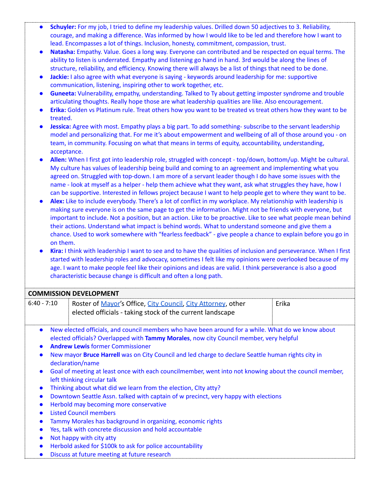- Schuyler: For my job, I tried to define my leadership values. Drilled down 50 adjectives to 3. Reliability, courage, and making a difference. Was informed by how I would like to be led and therefore how I want to lead. Encompasses a lot of things. Inclusion, honesty, commitment, compassion, trust.
- **Natasha:** Empathy. Value. Goes a long way. Everyone can contributed and be respected on equal terms. The ability to listen is underrated. Empathy and listening go hand in hand. 3rd would be along the lines of structure, reliability, and efficiency. Knowing there will always be a list of things that need to be done.
- **Jackie:** I also agree with what everyone is saying keywords around leadership for me: supportive communication, listening, inspiring other to work together, etc.
- **Guneeta:** Vulnerability, empathy, understanding. Talked to Ty about getting imposter syndrome and trouble articulating thoughts. Really hope those are what leadership qualities are like. Also encouragement.
- **Erika:** Golden vs Platinum rule. Treat others how you want to be treated vs treat others how they want to be treated.
- **Jessica:** Agree with most. Empathy plays a big part. To add something- subscribe to the servant leadership model and personalizing that. For me it's about empowerment and wellbeing of all of those around you - on team, in community. Focusing on what that means in terms of equity, accountability, understanding, acceptance.
- **Allen:** When I first got into leadership role, struggled with concept top/down, bottom/up. Might be cultural. My culture has values of leadership being build and coming to an agreement and implementing what you agreed on. Struggled with top-down. I am more of a servant leader though I do have some issues with the name - look at myself as a helper - help them achieve what they want, ask what struggles they have, how I can be supportive. Interested in fellows project because I want to help people get to where they want to be.
- **Alex:** Like to include everybody. There's a lot of conflict in my workplace. My relationship with leadership is making sure everyone is on the same page to get the information. Might not be friends with everyone, but important to include. Not a position, but an action. Like to be proactive. Like to see what people mean behind their actions. Understand what impact is behind words. What to understand someone and give them a chance. Used to work somewhere with "fearless feedback" - give people a chance to explain before you go in on them.
- **Kira:** I think with leadership I want to see and to have the qualities of inclusion and perseverance. When I first started with leadership roles and advocacy, sometimes I felt like my opinions were overlooked because of my age. I want to make people feel like their opinions and ideas are valid. I think perseverance is also a good characteristic because change is difficult and often a long path.

|                        | <b>COMMISSION DEVELOPMENT</b>                                                                                                                                                                                                                                                                                                                                                                                                                                                                                                                                                                                                                                                                                                                                                                                         |       |
|------------------------|-----------------------------------------------------------------------------------------------------------------------------------------------------------------------------------------------------------------------------------------------------------------------------------------------------------------------------------------------------------------------------------------------------------------------------------------------------------------------------------------------------------------------------------------------------------------------------------------------------------------------------------------------------------------------------------------------------------------------------------------------------------------------------------------------------------------------|-------|
| $6:40 - 7:10$          | Roster of Mayor's Office, City Council, City Attorney, other<br>elected officials - taking stock of the current landscape                                                                                                                                                                                                                                                                                                                                                                                                                                                                                                                                                                                                                                                                                             | Erika |
| $\bullet$<br>$\bullet$ | New elected officials, and council members who have been around for a while. What do we know about<br>elected officials? Overlapped with Tammy Morales, now city Council member, very helpful<br><b>Andrew Lewis former Commissioner</b><br>New mayor <b>Bruce Harrell</b> was on City Council and led charge to declare Seattle human rights city in<br>declaration/name<br>Goal of meeting at least once with each councilmember, went into not knowing about the council member,<br>left thinking circular talk<br>Thinking about what did we learn from the election, CIty atty?<br>Downtown Seattle Assn. talked with captain of w precinct, very happy with elections<br>Herbold may becoming more conservative<br><b>Listed Council members</b><br>Tammy Morales has background in organizing, economic rights |       |
|                        | Yes, talk with concrete discussion and hold accountable<br>Not happy with city atty                                                                                                                                                                                                                                                                                                                                                                                                                                                                                                                                                                                                                                                                                                                                   |       |
|                        | Herbold asked for \$100k to ask for police accountability                                                                                                                                                                                                                                                                                                                                                                                                                                                                                                                                                                                                                                                                                                                                                             |       |
|                        | Discuss at future meeting at future research                                                                                                                                                                                                                                                                                                                                                                                                                                                                                                                                                                                                                                                                                                                                                                          |       |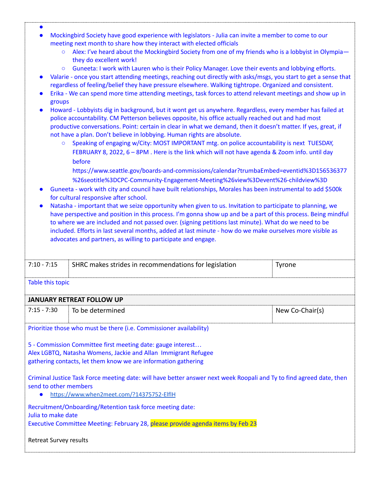- Mockingbird Society have good experience with legislators Julia can invite a member to come to our meeting next month to share how they interact with elected officials
	- Alex: I've heard about the Mockingbird Society from one of my friends who is a lobbyist in Olympia they do excellent work!
	- Guneeta: I work with Lauren who is their Policy Manager. Love their events and lobbying efforts.
- Valarie once you start attending meetings, reaching out directly with asks/msgs, you start to get a sense that regardless of feeling/belief they have pressure elsewhere. Walking tightrope. Organized and consistent.
- Erika We can spend more time attending meetings, task forces to attend relevant meetings and show up in groups
- Howard Lobbyists dig in background, but it wont get us anywhere. Regardless, every member has failed at police accountability. CM Petterson believes opposite, his office actually reached out and had most productive conversations. Point: certain in clear in what we demand, then it doesn't matter. If yes, great, if not have a plan. Don't believe in lobbying. Human rights are absolute.
	- Speaking of engaging w/City: MOST IMPORTANT mtg. on police accountability is next TUESDAY, FEBRUARY 8, 2022, 6 – 8PM . Here is the link which will not have agenda & Zoom info. until day before
		- [https://www.seattle.gov/boards-and-commissions/calendar?trumbaEmbed=eventid%3D156536377](https://www.seattle.gov/boards-and-commissions/calendar?trumbaEmbed=eventid%3D156536377%26seotitle%3DCPC-Community-Engagement-Meeting%26view%3Devent%26-childview%3D) [%26seotitle%3DCPC-Community-Engagement-Meeting%26view%3Devent%26-childview%3D](https://www.seattle.gov/boards-and-commissions/calendar?trumbaEmbed=eventid%3D156536377%26seotitle%3DCPC-Community-Engagement-Meeting%26view%3Devent%26-childview%3D)
- Guneeta work with city and council have built relationships, Morales has been instrumental to add \$500k for cultural responsive after school.
- Natasha important that we seize opportunity when given to us. Invitation to participate to planning, we have perspective and position in this process. I'm gonna show up and be a part of this process. Being mindful to where we are included and not passed over. (signing petitions last minute). What do we need to be included. Efforts in last several months, added at last minute - how do we make ourselves more visible as advocates and partners, as willing to participate and engage.

| $7:10 - 7:15$ | SHRC makes strides in recommendations for legislation | rrone |
|---------------|-------------------------------------------------------|-------|
|               |                                                       |       |
|               |                                                       |       |

## Table this topic

●

## **JANUARY RETREAT FOLLOW UP**

| : 7:15 - 7:30 | To be determined | <sup>i</sup> New Co-Chair(s) |
|---------------|------------------|------------------------------|
|               |                  |                              |

Prioritize those who must be there (i.e. Commissioner availability)

5 - Commission Committee first meeting date: gauge interest… Alex LGBTQ, Natasha Womens, Jackie and Allan Immigrant Refugee gathering contacts, let them know we are information gathering

Criminal Justice Task Force meeting date: will have better answer next week Roopali and Ty to find agreed date, then send to other members

● <https://www.when2meet.com/?14375752-ElflH>

Recruitment/Onboarding/Retention task force meeting date:

Julia to make date

Executive Committee Meeting: February 28, please provide agenda items by Feb 23

## Retreat Survey results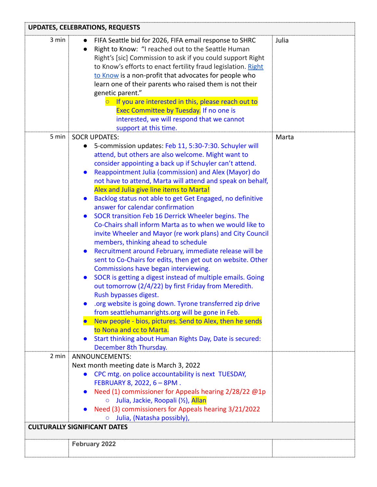| <b>UPDATES, CELEBRATIONS, REQUESTS</b> |                                                                                                                                                                                                                                                                                                                                                                                                                                                                                                                                                                                                                                                                                                                                                                                                                                                                                                                                                                                                                                                                                                                                                                                                                                                                               |       |
|----------------------------------------|-------------------------------------------------------------------------------------------------------------------------------------------------------------------------------------------------------------------------------------------------------------------------------------------------------------------------------------------------------------------------------------------------------------------------------------------------------------------------------------------------------------------------------------------------------------------------------------------------------------------------------------------------------------------------------------------------------------------------------------------------------------------------------------------------------------------------------------------------------------------------------------------------------------------------------------------------------------------------------------------------------------------------------------------------------------------------------------------------------------------------------------------------------------------------------------------------------------------------------------------------------------------------------|-------|
| 3 min                                  | FIFA Seattle bid for 2026, FIFA email response to SHRC<br>Right to Know: "I reached out to the Seattle Human<br>Right's [sic] Commission to ask if you could support Right<br>to Know's efforts to enact fertility fraud legislation. Right<br>to Know is a non-profit that advocates for people who<br>learn one of their parents who raised them is not their<br>genetic parent."<br>If you are interested in this, please reach out to<br>Exec Committee by Tuesday. If no one is<br>interested, we will respond that we cannot<br>support at this time.                                                                                                                                                                                                                                                                                                                                                                                                                                                                                                                                                                                                                                                                                                                   | Julia |
|                                        | 5 min   SOCR UPDATES:                                                                                                                                                                                                                                                                                                                                                                                                                                                                                                                                                                                                                                                                                                                                                                                                                                                                                                                                                                                                                                                                                                                                                                                                                                                         | Marta |
|                                        | 5-commission updates: Feb 11, 5:30-7:30. Schuyler will<br>attend, but others are also welcome. Might want to<br>consider appointing a back up if Schuyler can't attend.<br>Reappointment Julia (commission) and Alex (Mayor) do<br>not have to attend, Marta will attend and speak on behalf,<br>Alex and Julia give line items to Marta!<br>Backlog status not able to get Get Engaged, no definitive<br>answer for calendar confirmation<br>SOCR transition Feb 16 Derrick Wheeler begins. The<br>Co-Chairs shall inform Marta as to when we would like to<br>invite Wheeler and Mayor (re work plans) and City Council<br>members, thinking ahead to schedule<br>Recruitment around February, immediate release will be<br>sent to Co-Chairs for edits, then get out on website. Other<br>Commissions have began interviewing.<br>SOCR is getting a digest instead of multiple emails. Going<br>out tomorrow (2/4/22) by first Friday from Meredith.<br>Rush bypasses digest.<br>org website is going down. Tyrone transferred zip drive.<br>from seattlehumanrights.org will be gone in Feb.<br>New people - bios, pictures. Send to Alex, then he sends<br>to Nona and cc to Marta.<br>Start thinking about Human Rights Day, Date is secured:<br>December 8th Thursday. |       |
|                                        | 2 min   ANNOUNCEMENTS:                                                                                                                                                                                                                                                                                                                                                                                                                                                                                                                                                                                                                                                                                                                                                                                                                                                                                                                                                                                                                                                                                                                                                                                                                                                        |       |
|                                        | Next month meeting date is March 3, 2022<br>CPC mtg. on police accountability is next TUESDAY,<br>FEBRUARY 8, 2022, 6 - 8PM.<br>Need (1) commissioner for Appeals hearing 2/28/22 @1p<br>○ Julia, Jackie, Roopali (½), Allan<br>• Need (3) commissioners for Appeals hearing 3/21/2022<br>○ Julia, (Natasha possibly),<br><b>CULTURALLY SIGNIFICANT DATES</b>                                                                                                                                                                                                                                                                                                                                                                                                                                                                                                                                                                                                                                                                                                                                                                                                                                                                                                                 |       |
|                                        | <b>February 2022</b>                                                                                                                                                                                                                                                                                                                                                                                                                                                                                                                                                                                                                                                                                                                                                                                                                                                                                                                                                                                                                                                                                                                                                                                                                                                          |       |
|                                        |                                                                                                                                                                                                                                                                                                                                                                                                                                                                                                                                                                                                                                                                                                                                                                                                                                                                                                                                                                                                                                                                                                                                                                                                                                                                               |       |